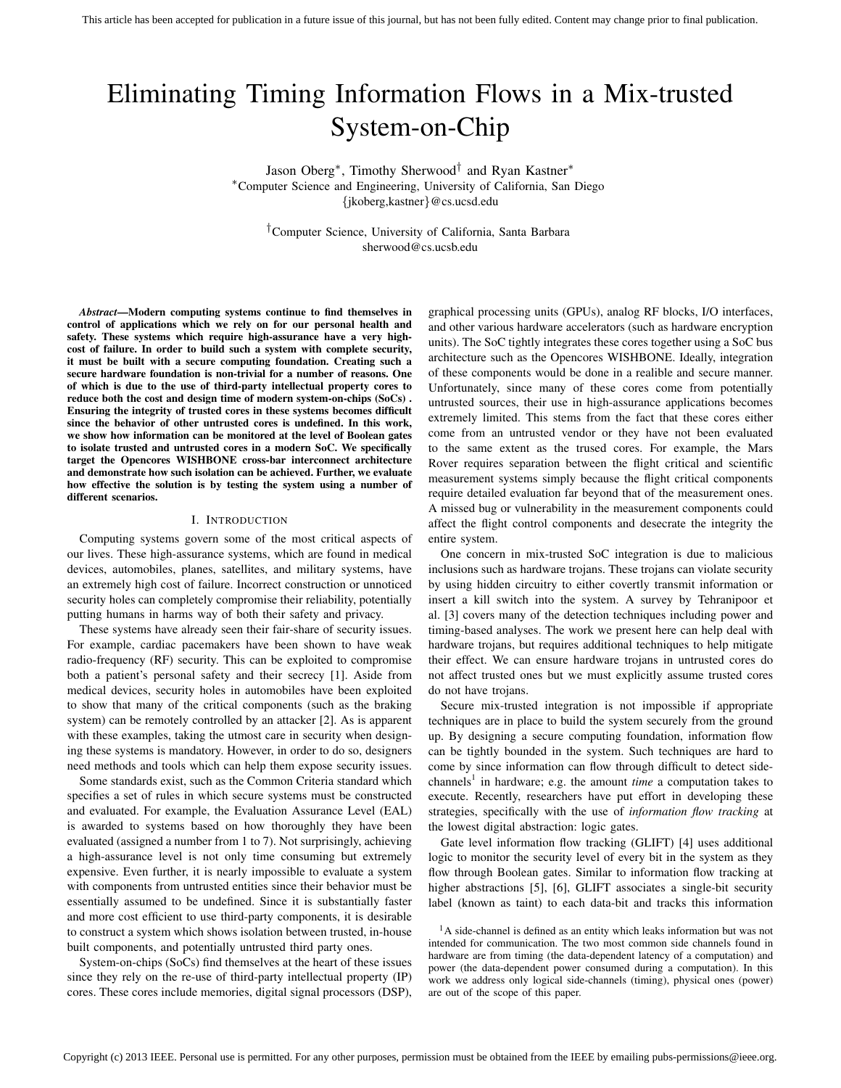# Eliminating Timing Information Flows in a Mix-trusted System-on-Chip

Jason Oberg<sup>∗</sup> , Timothy Sherwood† and Ryan Kastner<sup>∗</sup> <sup>∗</sup>Computer Science and Engineering, University of California, San Diego {jkoberg,kastner}@cs.ucsd.edu

†Computer Science, University of California, Santa Barbara sherwood@cs.ucsb.edu

*Abstract*—Modern computing systems continue to find themselves in control of applications which we rely on for our personal health and safety. These systems which require high-assurance have a very highcost of failure. In order to build such a system with complete security, it must be built with a secure computing foundation. Creating such a secure hardware foundation is non-trivial for a number of reasons. One of which is due to the use of third-party intellectual property cores to reduce both the cost and design time of modern system-on-chips (SoCs) . Ensuring the integrity of trusted cores in these systems becomes difficult since the behavior of other untrusted cores is undefined. In this work, we show how information can be monitored at the level of Boolean gates to isolate trusted and untrusted cores in a modern SoC. We specifically target the Opencores WISHBONE cross-bar interconnect architecture and demonstrate how such isolation can be achieved. Further, we evaluate how effective the solution is by testing the system using a number of different scenarios.

## I. INTRODUCTION

Computing systems govern some of the most critical aspects of our lives. These high-assurance systems, which are found in medical devices, automobiles, planes, satellites, and military systems, have an extremely high cost of failure. Incorrect construction or unnoticed security holes can completely compromise their reliability, potentially putting humans in harms way of both their safety and privacy.

These systems have already seen their fair-share of security issues. For example, cardiac pacemakers have been shown to have weak radio-frequency (RF) security. This can be exploited to compromise both a patient's personal safety and their secrecy [1]. Aside from medical devices, security holes in automobiles have been exploited to show that many of the critical components (such as the braking system) can be remotely controlled by an attacker [2]. As is apparent with these examples, taking the utmost care in security when designing these systems is mandatory. However, in order to do so, designers need methods and tools which can help them expose security issues.

Some standards exist, such as the Common Criteria standard which specifies a set of rules in which secure systems must be constructed and evaluated. For example, the Evaluation Assurance Level (EAL) is awarded to systems based on how thoroughly they have been evaluated (assigned a number from 1 to 7). Not surprisingly, achieving a high-assurance level is not only time consuming but extremely expensive. Even further, it is nearly impossible to evaluate a system with components from untrusted entities since their behavior must be essentially assumed to be undefined. Since it is substantially faster and more cost efficient to use third-party components, it is desirable to construct a system which shows isolation between trusted, in-house built components, and potentially untrusted third party ones.

System-on-chips (SoCs) find themselves at the heart of these issues since they rely on the re-use of third-party intellectual property (IP) cores. These cores include memories, digital signal processors (DSP), graphical processing units (GPUs), analog RF blocks, I/O interfaces, and other various hardware accelerators (such as hardware encryption units). The SoC tightly integrates these cores together using a SoC bus architecture such as the Opencores WISHBONE. Ideally, integration of these components would be done in a realible and secure manner. Unfortunately, since many of these cores come from potentially untrusted sources, their use in high-assurance applications becomes extremely limited. This stems from the fact that these cores either come from an untrusted vendor or they have not been evaluated to the same extent as the trused cores. For example, the Mars Rover requires separation between the flight critical and scientific measurement systems simply because the flight critical components require detailed evaluation far beyond that of the measurement ones. A missed bug or vulnerability in the measurement components could affect the flight control components and desecrate the integrity the entire system.

One concern in mix-trusted SoC integration is due to malicious inclusions such as hardware trojans. These trojans can violate security by using hidden circuitry to either covertly transmit information or insert a kill switch into the system. A survey by Tehranipoor et al. [3] covers many of the detection techniques including power and timing-based analyses. The work we present here can help deal with hardware trojans, but requires additional techniques to help mitigate their effect. We can ensure hardware trojans in untrusted cores do not affect trusted ones but we must explicitly assume trusted cores do not have trojans.

Secure mix-trusted integration is not impossible if appropriate techniques are in place to build the system securely from the ground up. By designing a secure computing foundation, information flow can be tightly bounded in the system. Such techniques are hard to come by since information can flow through difficult to detect sidechannels<sup>1</sup> in hardware; e.g. the amount *time* a computation takes to execute. Recently, researchers have put effort in developing these strategies, specifically with the use of *information flow tracking* at the lowest digital abstraction: logic gates.

Gate level information flow tracking (GLIFT) [4] uses additional logic to monitor the security level of every bit in the system as they flow through Boolean gates. Similar to information flow tracking at higher abstractions [5], [6], GLIFT associates a single-bit security label (known as taint) to each data-bit and tracks this information

<sup>1</sup>A side-channel is defined as an entity which leaks information but was not intended for communication. The two most common side channels found in hardware are from timing (the data-dependent latency of a computation) and power (the data-dependent power consumed during a computation). In this work we address only logical side-channels (timing), physical ones (power) are out of the scope of this paper.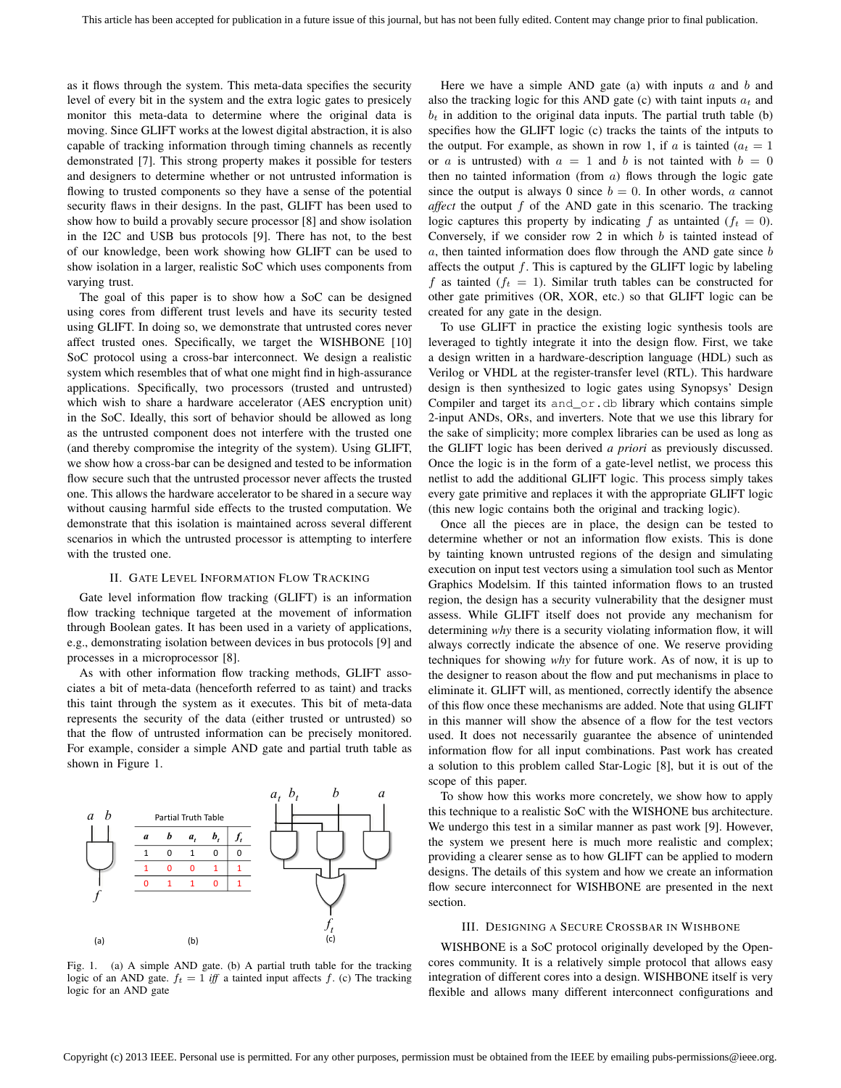as it flows through the system. This meta-data specifies the security level of every bit in the system and the extra logic gates to presicely monitor this meta-data to determine where the original data is moving. Since GLIFT works at the lowest digital abstraction, it is also capable of tracking information through timing channels as recently demonstrated [7]. This strong property makes it possible for testers and designers to determine whether or not untrusted information is flowing to trusted components so they have a sense of the potential security flaws in their designs. In the past, GLIFT has been used to show how to build a provably secure processor [8] and show isolation in the I2C and USB bus protocols [9]. There has not, to the best of our knowledge, been work showing how GLIFT can be used to show isolation in a larger, realistic SoC which uses components from varying trust.

The goal of this paper is to show how a SoC can be designed using cores from different trust levels and have its security tested using GLIFT. In doing so, we demonstrate that untrusted cores never affect trusted ones. Specifically, we target the WISHBONE [10] SoC protocol using a cross-bar interconnect. We design a realistic system which resembles that of what one might find in high-assurance applications. Specifically, two processors (trusted and untrusted) which wish to share a hardware accelerator (AES encryption unit) in the SoC. Ideally, this sort of behavior should be allowed as long as the untrusted component does not interfere with the trusted one (and thereby compromise the integrity of the system). Using GLIFT, we show how a cross-bar can be designed and tested to be information flow secure such that the untrusted processor never affects the trusted one. This allows the hardware accelerator to be shared in a secure way without causing harmful side effects to the trusted computation. We demonstrate that this isolation is maintained across several different scenarios in which the untrusted processor is attempting to interfere with the trusted one.

# II. GATE LEVEL INFORMATION FLOW TRACKING

Gate level information flow tracking (GLIFT) is an information flow tracking technique targeted at the movement of information through Boolean gates. It has been used in a variety of applications, e.g., demonstrating isolation between devices in bus protocols [9] and processes in a microprocessor [8].

As with other information flow tracking methods, GLIFT associates a bit of meta-data (henceforth referred to as taint) and tracks this taint through the system as it executes. This bit of meta-data represents the security of the data (either trusted or untrusted) so that the flow of untrusted information can be precisely monitored. For example, consider a simple AND gate and partial truth table as shown in Figure 1.



Fig. 1. (a) A simple AND gate. (b) A partial truth table for the tracking logic of an AND gate.  $f_t = 1$  *iff* a tainted input affects f. (c) The tracking logic for an AND gate

Here we have a simple AND gate (a) with inputs  $a$  and  $b$  and also the tracking logic for this AND gate (c) with taint inputs  $a_t$  and  $b_t$  in addition to the original data inputs. The partial truth table (b) specifies how the GLIFT logic (c) tracks the taints of the intputs to the output. For example, as shown in row 1, if a is tainted  $(a<sub>t</sub> = 1)$ or a is untrusted) with  $a = 1$  and b is not tainted with  $b = 0$ then no tainted information (from  $a$ ) flows through the logic gate since the output is always 0 since  $b = 0$ . In other words, a cannot *affect* the output f of the AND gate in this scenario. The tracking logic captures this property by indicating f as untainted  $(f_t = 0)$ . Conversely, if we consider row  $2$  in which  $b$  is tainted instead of  $a$ , then tainted information does flow through the AND gate since  $b$ affects the output  $f$ . This is captured by the GLIFT logic by labeling f as tainted  $(f_t = 1)$ . Similar truth tables can be constructed for other gate primitives (OR, XOR, etc.) so that GLIFT logic can be created for any gate in the design.

To use GLIFT in practice the existing logic synthesis tools are leveraged to tightly integrate it into the design flow. First, we take a design written in a hardware-description language (HDL) such as Verilog or VHDL at the register-transfer level (RTL). This hardware design is then synthesized to logic gates using Synopsys' Design Compiler and target its and\_or.db library which contains simple 2-input ANDs, ORs, and inverters. Note that we use this library for the sake of simplicity; more complex libraries can be used as long as the GLIFT logic has been derived *a priori* as previously discussed. Once the logic is in the form of a gate-level netlist, we process this netlist to add the additional GLIFT logic. This process simply takes every gate primitive and replaces it with the appropriate GLIFT logic (this new logic contains both the original and tracking logic).

Once all the pieces are in place, the design can be tested to determine whether or not an information flow exists. This is done by tainting known untrusted regions of the design and simulating execution on input test vectors using a simulation tool such as Mentor Graphics Modelsim. If this tainted information flows to an trusted region, the design has a security vulnerability that the designer must assess. While GLIFT itself does not provide any mechanism for determining *why* there is a security violating information flow, it will always correctly indicate the absence of one. We reserve providing techniques for showing *why* for future work. As of now, it is up to the designer to reason about the flow and put mechanisms in place to eliminate it. GLIFT will, as mentioned, correctly identify the absence of this flow once these mechanisms are added. Note that using GLIFT in this manner will show the absence of a flow for the test vectors used. It does not necessarily guarantee the absence of unintended information flow for all input combinations. Past work has created a solution to this problem called Star-Logic [8], but it is out of the scope of this paper.

To show how this works more concretely, we show how to apply this technique to a realistic SoC with the WISHONE bus architecture. We undergo this test in a similar manner as past work [9]. However, the system we present here is much more realistic and complex; providing a clearer sense as to how GLIFT can be applied to modern designs. The details of this system and how we create an information flow secure interconnect for WISHBONE are presented in the next section.

#### III. DESIGNING A SECURE CROSSBAR IN WISHBONE

WISHBONE is a SoC protocol originally developed by the Opencores community. It is a relatively simple protocol that allows easy integration of different cores into a design. WISHBONE itself is very flexible and allows many different interconnect configurations and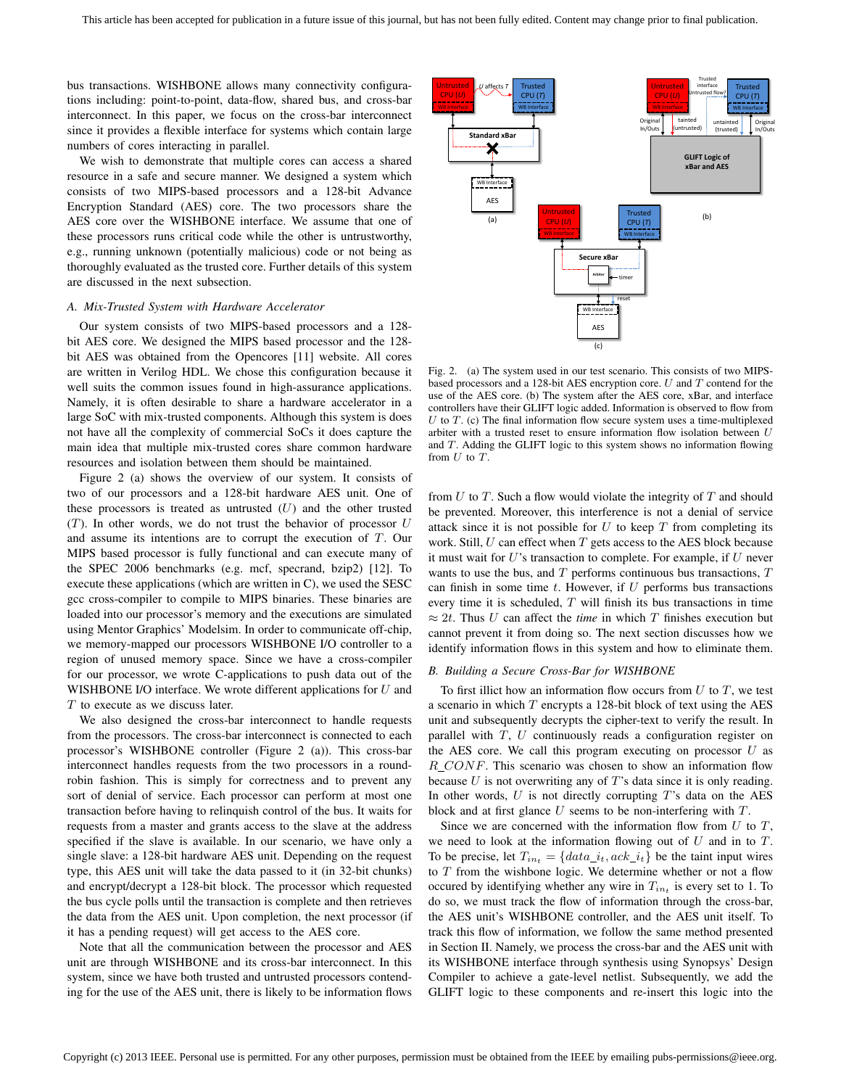bus transactions. WISHBONE allows many connectivity configurations including: point-to-point, data-flow, shared bus, and cross-bar interconnect. In this paper, we focus on the cross-bar interconnect since it provides a flexible interface for systems which contain large numbers of cores interacting in parallel.

We wish to demonstrate that multiple cores can access a shared resource in a safe and secure manner. We designed a system which consists of two MIPS-based processors and a 128-bit Advance Encryption Standard (AES) core. The two processors share the AES core over the WISHBONE interface. We assume that one of these processors runs critical code while the other is untrustworthy, e.g., running unknown (potentially malicious) code or not being as thoroughly evaluated as the trusted core. Further details of this system are discussed in the next subsection.

# *A. Mix-Trusted System with Hardware Accelerator*

Our system consists of two MIPS-based processors and a 128 bit AES core. We designed the MIPS based processor and the 128 bit AES was obtained from the Opencores [11] website. All cores are written in Verilog HDL. We chose this configuration because it well suits the common issues found in high-assurance applications. Namely, it is often desirable to share a hardware accelerator in a large SoC with mix-trusted components. Although this system is does not have all the complexity of commercial SoCs it does capture the main idea that multiple mix-trusted cores share common hardware resources and isolation between them should be maintained.

Figure 2 (a) shows the overview of our system. It consists of two of our processors and a 128-bit hardware AES unit. One of these processors is treated as untrusted  $(U)$  and the other trusted  $(T)$ . In other words, we do not trust the behavior of processor  $U$ and assume its intentions are to corrupt the execution of T. Our MIPS based processor is fully functional and can execute many of the SPEC 2006 benchmarks (e.g. mcf, specrand, bzip2) [12]. To execute these applications (which are written in C), we used the SESC gcc cross-compiler to compile to MIPS binaries. These binaries are loaded into our processor's memory and the executions are simulated using Mentor Graphics' Modelsim. In order to communicate off-chip, we memory-mapped our processors WISHBONE I/O controller to a region of unused memory space. Since we have a cross-compiler for our processor, we wrote C-applications to push data out of the WISHBONE I/O interface. We wrote different applications for  $U$  and T to execute as we discuss later.

We also designed the cross-bar interconnect to handle requests from the processors. The cross-bar interconnect is connected to each processor's WISHBONE controller (Figure 2 (a)). This cross-bar interconnect handles requests from the two processors in a roundrobin fashion. This is simply for correctness and to prevent any sort of denial of service. Each processor can perform at most one transaction before having to relinquish control of the bus. It waits for requests from a master and grants access to the slave at the address specified if the slave is available. In our scenario, we have only a single slave: a 128-bit hardware AES unit. Depending on the request type, this AES unit will take the data passed to it (in 32-bit chunks) and encrypt/decrypt a 128-bit block. The processor which requested the bus cycle polls until the transaction is complete and then retrieves the data from the AES unit. Upon completion, the next processor (if it has a pending request) will get access to the AES core.

Note that all the communication between the processor and AES unit are through WISHBONE and its cross-bar interconnect. In this system, since we have both trusted and untrusted processors contending for the use of the AES unit, there is likely to be information flows



Fig. 2. (a) The system used in our test scenario. This consists of two MIPSbased processors and a 128-bit AES encryption core.  $U$  and  $T$  contend for the use of the AES core. (b) The system after the AES core, xBar, and interface controllers have their GLIFT logic added. Information is observed to flow from U to T. (c) The final information flow secure system uses a time-multiplexed arbiter with a trusted reset to ensure information flow isolation between U and T. Adding the GLIFT logic to this system shows no information flowing from  $U$  to  $T$ .

from  $U$  to  $T$ . Such a flow would violate the integrity of  $T$  and should be prevented. Moreover, this interference is not a denial of service attack since it is not possible for  $U$  to keep  $T$  from completing its work. Still,  $U$  can effect when  $T$  gets access to the AES block because it must wait for  $U$ 's transaction to complete. For example, if  $U$  never wants to use the bus, and  $T$  performs continuous bus transactions,  $T$ can finish in some time  $t$ . However, if  $U$  performs bus transactions every time it is scheduled,  $T$  will finish its bus transactions in time  $\approx 2t$ . Thus U can affect the *time* in which T finishes execution but cannot prevent it from doing so. The next section discusses how we identify information flows in this system and how to eliminate them.

## *B. Building a Secure Cross-Bar for WISHBONE*

To first illict how an information flow occurs from  $U$  to  $T$ , we test a scenario in which  $T$  encrypts a 128-bit block of text using the AES unit and subsequently decrypts the cipher-text to verify the result. In parallel with  $T$ ,  $U$  continuously reads a configuration register on the AES core. We call this program executing on processor  $U$  as R CONF. This scenario was chosen to show an information flow because  $U$  is not overwriting any of  $T$ 's data since it is only reading. In other words,  $U$  is not directly corrupting  $T$ 's data on the AES block and at first glance  $U$  seems to be non-interfering with  $T$ .

Since we are concerned with the information flow from  $U$  to  $T$ , we need to look at the information flowing out of  $U$  and in to  $T$ . To be precise, let  $T_{in_t} = \{data\_i_t,ack\_i_t\}$  be the taint input wires to  $T$  from the wishbone logic. We determine whether or not a flow occured by identifying whether any wire in  $T_{in}$  is every set to 1. To do so, we must track the flow of information through the cross-bar, the AES unit's WISHBONE controller, and the AES unit itself. To track this flow of information, we follow the same method presented in Section II. Namely, we process the cross-bar and the AES unit with its WISHBONE interface through synthesis using Synopsys' Design Compiler to achieve a gate-level netlist. Subsequently, we add the GLIFT logic to these components and re-insert this logic into the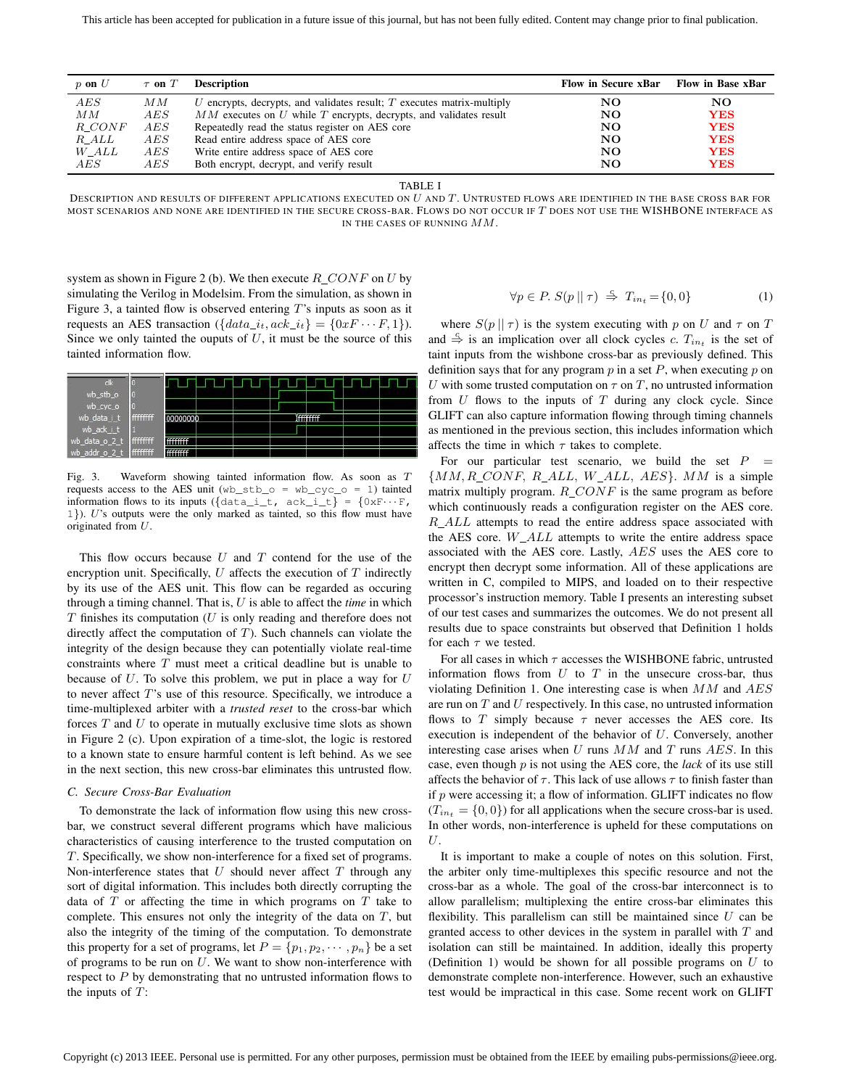| $p$ on $U$ | $\tau$ on $T$ | <b>Description</b>                                                       | <b>Flow in Secure xBar</b> | Flow in Base xBar |
|------------|---------------|--------------------------------------------------------------------------|----------------------------|-------------------|
| AES        | ΜМ            | U encrypts, decrypts, and validates result; $T$ executes matrix-multiply | NO                         | NO.               |
| ΜМ         | AES           | $MM$ executes on U while T encrypts, decrypts, and validates result      | NO                         | <b>YES</b>        |
| R CONF     | AES           | Repeatedly read the status register on AES core                          | NO                         | <b>YES</b>        |
| R ALL      | AES           | Read entire address space of AES core                                    | NO                         | <b>YES</b>        |
| W ALL      | AES           | Write entire address space of AES core                                   | NO                         | <b>YES</b>        |
| AES        | AES           | Both encrypt, decrypt, and verify result                                 | NO                         | <b>YES</b>        |

TABLE I

DESCRIPTION AND RESULTS OF DIFFERENT APPLICATIONS EXECUTED ON  $U$  and  $T$ . Untrusted flows are identified in the base cross bar for MOST SCENARIOS AND NONE ARE IDENTIFIED IN THE SECURE CROSS-BAR. FLOWS DO NOT OCCUR IF T DOES NOT USE THE WISHBONE INTERFACE AS IN THE CASES OF RUNNING MM.

system as shown in Figure 2 (b). We then execute  $R\_CONF$  on U by simulating the Verilog in Modelsim. From the simulation, as shown in Figure 3, a tainted flow is observed entering  $T$ 's inputs as soon as it requests an AES transaction ( $\{data_i,ack_i\} = \{0xF \cdots F, 1\}$ ). Since we only tainted the ouputs of  $U$ , it must be the source of this tainted information flow.



Fig. 3. Waveform showing tainted information flow. As soon as T requests access to the AES unit  $(wb\_stb_0 = wb\_cyc_0 = 1)$  tainted information flows to its inputs  $({\text{data}_i_t, \text{ack}_t}) = {\text{0xF}} \cdots$  F, 1}). U's outputs were the only marked as tainted, so this flow must have originated from U.

This flow occurs because  $U$  and  $T$  contend for the use of the encryption unit. Specifically,  $U$  affects the execution of  $T$  indirectly by its use of the AES unit. This flow can be regarded as occuring through a timing channel. That is, U is able to affect the *time* in which  $T$  finishes its computation ( $U$  is only reading and therefore does not directly affect the computation of  $T$ ). Such channels can violate the integrity of the design because they can potentially violate real-time constraints where  $T$  must meet a critical deadline but is unable to because of  $U$ . To solve this problem, we put in place a way for  $U$ to never affect T's use of this resource. Specifically, we introduce a time-multiplexed arbiter with a *trusted reset* to the cross-bar which forces  $T$  and  $U$  to operate in mutually exclusive time slots as shown in Figure 2 (c). Upon expiration of a time-slot, the logic is restored to a known state to ensure harmful content is left behind. As we see in the next section, this new cross-bar eliminates this untrusted flow.

# *C. Secure Cross-Bar Evaluation*

To demonstrate the lack of information flow using this new crossbar, we construct several different programs which have malicious characteristics of causing interference to the trusted computation on T. Specifically, we show non-interference for a fixed set of programs. Non-interference states that  $U$  should never affect  $T$  through any sort of digital information. This includes both directly corrupting the data of  $T$  or affecting the time in which programs on  $T$  take to complete. This ensures not only the integrity of the data on  $T$ , but also the integrity of the timing of the computation. To demonstrate this property for a set of programs, let  $P = \{p_1, p_2, \dots, p_n\}$  be a set of programs to be run on  $U$ . We want to show non-interference with respect to  $P$  by demonstrating that no untrusted information flows to the inputs of  $T$ :

$$
\forall p \in P. S(p \mid \mid \tau) \stackrel{c}{\Rightarrow} T_{in_t} = \{0, 0\} \tag{1}
$$

where  $S(p || \tau)$  is the system executing with p on U and  $\tau$  on T and  $\stackrel{c}{\Rightarrow}$  is an implication over all clock cycles c.  $T_{in_t}$  is the set of taint inputs from the wishbone cross-bar as previously defined. This definition says that for any program  $p$  in a set  $P$ , when executing  $p$  on U with some trusted computation on  $\tau$  on  $T$ , no untrusted information from  $U$  flows to the inputs of  $T$  during any clock cycle. Since GLIFT can also capture information flowing through timing channels as mentioned in the previous section, this includes information which affects the time in which  $\tau$  takes to complete.

For our particular test scenario, we build the set  $P =$  ${MM, R\_CONF, R\_ALL, W\_ALL, AES}. MM$  is a simple matrix multiply program.  $R\_CONF$  is the same program as before which continuously reads a configuration register on the AES core.  $R$ <sub>-ALL</sub> attempts to read the entire address space associated with the AES core.  $W\_ALL$  attempts to write the entire address space associated with the AES core. Lastly, AES uses the AES core to encrypt then decrypt some information. All of these applications are written in C, compiled to MIPS, and loaded on to their respective processor's instruction memory. Table I presents an interesting subset of our test cases and summarizes the outcomes. We do not present all results due to space constraints but observed that Definition 1 holds for each  $\tau$  we tested.

For all cases in which  $\tau$  accesses the WISHBONE fabric, untrusted information flows from  $U$  to  $T$  in the unsecure cross-bar, thus violating Definition 1. One interesting case is when  $MM$  and  $AES$ are run on  $T$  and  $U$  respectively. In this case, no untrusted information flows to T simply because  $\tau$  never accesses the AES core. Its execution is independent of the behavior of U. Conversely, another interesting case arises when  $U$  runs  $MM$  and  $T$  runs  $AES$ . In this case, even though p is not using the AES core, the *lack* of its use still affects the behavior of  $\tau$ . This lack of use allows  $\tau$  to finish faster than if  $p$  were accessing it; a flow of information. GLIFT indicates no flow  $(T_{in_t} = \{0, 0\})$  for all applications when the secure cross-bar is used. In other words, non-interference is upheld for these computations on U.

It is important to make a couple of notes on this solution. First, the arbiter only time-multiplexes this specific resource and not the cross-bar as a whole. The goal of the cross-bar interconnect is to allow parallelism; multiplexing the entire cross-bar eliminates this flexibility. This parallelism can still be maintained since  $U$  can be granted access to other devices in the system in parallel with  $T$  and isolation can still be maintained. In addition, ideally this property (Definition 1) would be shown for all possible programs on  $U$  to demonstrate complete non-interference. However, such an exhaustive test would be impractical in this case. Some recent work on GLIFT